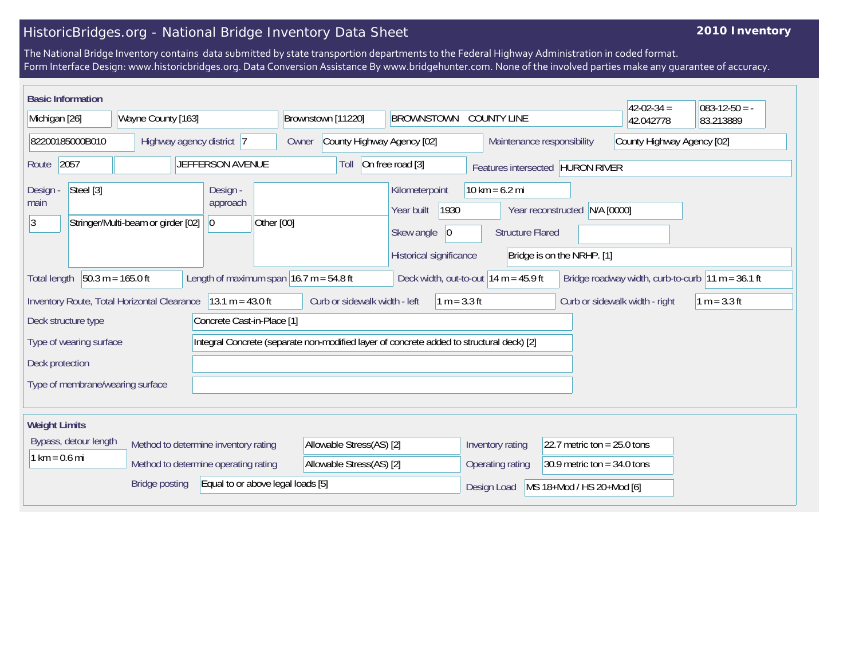## HistoricBridges.org - National Bridge Inventory Data Sheet

## **2010 Inventory**

The National Bridge Inventory contains data submitted by state transportion departments to the Federal Highway Administration in coded format. Form Interface Design: www.historicbridges.org. Data Conversion Assistance By www.bridgehunter.com. None of the involved parties make any guarantee of accuracy.

| <b>Basic Information</b>                                                                                                                                                                   |                                                                                 |                                                                                          |                                                                                      |                                             |                                                             |                            |                                  |  |
|--------------------------------------------------------------------------------------------------------------------------------------------------------------------------------------------|---------------------------------------------------------------------------------|------------------------------------------------------------------------------------------|--------------------------------------------------------------------------------------|---------------------------------------------|-------------------------------------------------------------|----------------------------|----------------------------------|--|
| Michigan [26]                                                                                                                                                                              | Wayne County [163]                                                              | Brownstown [11220]                                                                       | <b>BROWNSTOWN</b>                                                                    | <b>COUNTY LINE</b>                          |                                                             | $42-02-34=$<br>42.042778   | $083 - 12 - 50 = -$<br>83.213889 |  |
| 82200185000B010                                                                                                                                                                            | Highway agency district 7                                                       | County Highway Agency [02]<br>Owner                                                      |                                                                                      | Maintenance responsibility                  |                                                             | County Highway Agency [02] |                                  |  |
| 2057<br>Route                                                                                                                                                                              | JEFFERSON AVENUE                                                                | Toll                                                                                     | On free road [3]                                                                     | Features intersected HURON RIVER            |                                                             |                            |                                  |  |
| Steel [3]<br>Design<br>main<br>$\overline{3}$                                                                                                                                              | Design -<br>approach<br>Stringer/Multi-beam or girder [02]<br> 0 <br>Other [00] |                                                                                          | Kilometerpoint<br>Year built<br>1930<br> 0 <br>Skew angle<br>Historical significance | $10 km = 6.2 mi$<br><b>Structure Flared</b> | Year reconstructed N/A [0000]<br>Bridge is on the NRHP. [1] |                            |                                  |  |
| $50.3 m = 165.0 ft$<br>Length of maximum span $16.7$ m = 54.8 ft<br>Bridge roadway width, curb-to-curb $ 11 m = 36.1 ft$<br>Deck width, out-to-out $14 m = 45.9 ft$<br><b>Total length</b> |                                                                                 |                                                                                          |                                                                                      |                                             |                                                             |                            |                                  |  |
| $13.1 m = 43.0 ft$<br>$1 m = 3.3 ft$<br>Inventory Route, Total Horizontal Clearance<br>Curb or sidewalk width - left<br>$1 m = 3.3 ft$<br>Curb or sidewalk width - right                   |                                                                                 |                                                                                          |                                                                                      |                                             |                                                             |                            |                                  |  |
| Concrete Cast-in-Place [1]<br>Deck structure type                                                                                                                                          |                                                                                 |                                                                                          |                                                                                      |                                             |                                                             |                            |                                  |  |
| Type of wearing surface                                                                                                                                                                    |                                                                                 | Integral Concrete (separate non-modified layer of concrete added to structural deck) [2] |                                                                                      |                                             |                                                             |                            |                                  |  |
| Deck protection                                                                                                                                                                            |                                                                                 |                                                                                          |                                                                                      |                                             |                                                             |                            |                                  |  |
| Type of membrane/wearing surface                                                                                                                                                           |                                                                                 |                                                                                          |                                                                                      |                                             |                                                             |                            |                                  |  |
| <b>Weight Limits</b>                                                                                                                                                                       |                                                                                 |                                                                                          |                                                                                      |                                             |                                                             |                            |                                  |  |
| Bypass, detour length                                                                                                                                                                      | Method to determine inventory rating                                            | Allowable Stress(AS) [2]                                                                 |                                                                                      | Inventory rating                            | 22.7 metric ton = $25.0$ tons                               |                            |                                  |  |
| $1 km = 0.6 mi$                                                                                                                                                                            | Method to determine operating rating                                            | Allowable Stress(AS) [2]                                                                 |                                                                                      | Operating rating                            | 30.9 metric ton = $34.0$ tons                               |                            |                                  |  |
| Equal to or above legal loads [5]<br><b>Bridge posting</b>                                                                                                                                 |                                                                                 |                                                                                          |                                                                                      | Design Load                                 | MS 18+Mod / HS 20+Mod [6]                                   |                            |                                  |  |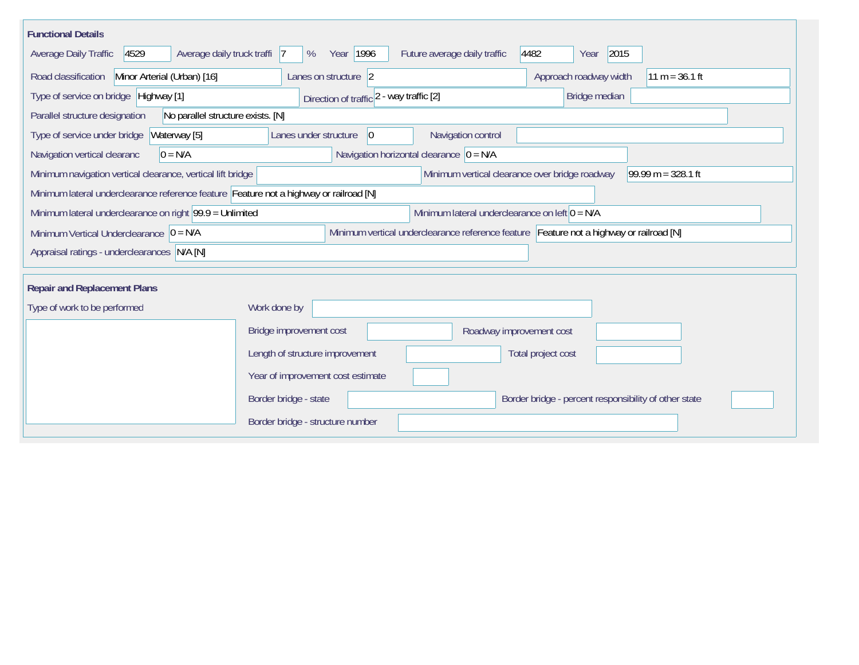| <b>Functional Details</b>                                                              |                                                                                                                |  |  |  |  |  |
|----------------------------------------------------------------------------------------|----------------------------------------------------------------------------------------------------------------|--|--|--|--|--|
| 4529<br>Average daily truck traffi 7<br>Average Daily Traffic                          | 2015<br>Year 1996<br>Future average daily traffic<br>4482<br>%<br>Year                                         |  |  |  |  |  |
| Road classification<br>Minor Arterial (Urban) [16]                                     | Approach roadway width<br>Lanes on structure 2<br>$11 m = 36.1 ft$                                             |  |  |  |  |  |
| Type of service on bridge Highway [1]                                                  | Bridge median<br>Direction of traffic 2 - way traffic [2]                                                      |  |  |  |  |  |
| No parallel structure exists. [N]<br>Parallel structure designation                    |                                                                                                                |  |  |  |  |  |
| Waterway [5]<br>Type of service under bridge                                           | Navigation control<br>Lanes under structure<br> 0                                                              |  |  |  |  |  |
| $0 = N/A$<br>Navigation vertical clearanc                                              | Navigation horizontal clearance $ 0 = N/A$                                                                     |  |  |  |  |  |
| Minimum navigation vertical clearance, vertical lift bridge                            | 99.99 m = $328.1$ ft<br>Minimum vertical clearance over bridge roadway                                         |  |  |  |  |  |
| Minimum lateral underclearance reference feature Feature not a highway or railroad [N] |                                                                                                                |  |  |  |  |  |
|                                                                                        | Minimum lateral underclearance on right $99.9 =$ Unlimited<br>Minimum lateral underclearance on left $0 = N/A$ |  |  |  |  |  |
| Minimum Vertical Underclearance $ 0 = N/A$                                             | Minimum vertical underclearance reference feature Feature not a highway or railroad [N]                        |  |  |  |  |  |
| Appraisal ratings - underclearances N/A [N]                                            |                                                                                                                |  |  |  |  |  |
|                                                                                        |                                                                                                                |  |  |  |  |  |
| <b>Repair and Replacement Plans</b>                                                    |                                                                                                                |  |  |  |  |  |
| Type of work to be performed                                                           | Work done by                                                                                                   |  |  |  |  |  |
|                                                                                        | Bridge improvement cost<br>Roadway improvement cost                                                            |  |  |  |  |  |
|                                                                                        | Length of structure improvement<br>Total project cost                                                          |  |  |  |  |  |
|                                                                                        | Year of improvement cost estimate                                                                              |  |  |  |  |  |
|                                                                                        | Border bridge - state<br>Border bridge - percent responsibility of other state                                 |  |  |  |  |  |
|                                                                                        | Border bridge - structure number                                                                               |  |  |  |  |  |